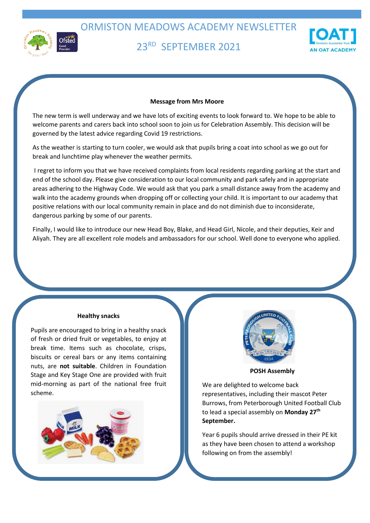

ORMISTON MEADOWS ACADEMY NEWSLETTER

# 23RD SEPTEMBER 2021



### **Message from Mrs Moore**

The new term is well underway and we have lots of exciting events to look forward to. We hope to be able to welcome parents and carers back into school soon to join us for Celebration Assembly. This decision will be governed by the latest advice regarding Covid 19 restrictions.

As the weather is starting to turn cooler, we would ask that pupils bring a coat into school as we go out for break and lunchtime play whenever the weather permits.

I regret to inform you that we have received complaints from local residents regarding parking at the start and end of the school day. Please give consideration to our local community and park safely and in appropriate areas adhering to the Highway Code. We would ask that you park a small distance away from the academy and walk into the academy grounds when dropping off or collecting your child. It is important to our academy that positive relations with our local community remain in place and do not diminish due to inconsiderate, dangerous parking by some of our parents.

Finally, I would like to introduce our new Head Boy, Blake, and Head Girl, Nicole, and their deputies, Keir and Aliyah. They are all excellent role models and ambassadors for our school. Well done to everyone who applied.

#### **Healthy snacks**

Pupils are encouraged to bring in a healthy snack of fresh or dried fruit or vegetables, to enjoy at break time. Items such as chocolate, crisps, biscuits or cereal bars or any items containing nuts, are **not suitable**. Children in Foundation Stage and Key Stage One are provided with fruit mid-morning as part of the national free fruit scheme.





**POSH Assembly**

We are delighted to welcome back representatives, including their mascot Peter Burrows, from Peterborough United Football Club to lead a special assembly on **Monday 27th September.**

Year 6 pupils should arrive dressed in their PE kit as they have been chosen to attend a workshop following on from the assembly!